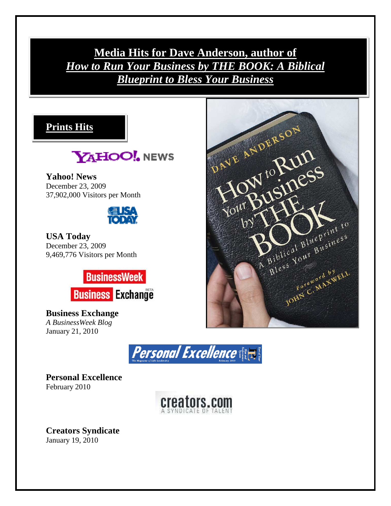**Media Hits for Dave Anderson, author of**  *How to Run Your Business by THE BOOK: A Biblical Blueprint to Bless Your Business*





**Yahoo! News**  December 23, 2009 37,902,000 Visitors per Month



**USA Today**  December 23, 2009 9,469,776 Visitors per Month



**Business Exchange**  *A BusinessWeek Blog*  January 21, 2010



**Personal Excellence**  February 2010



**Creators Syndicate**  January 19, 2010

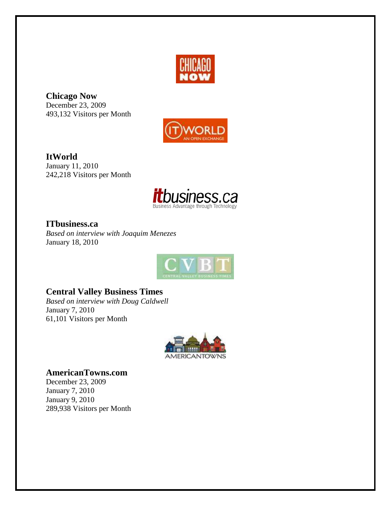

**Chicago Now**  December 23, 2009 493,132 Visitors per Month



**ItWorld**  January 11, 2010 242,218 Visitors per Month



**ITbusiness.ca** *Based on interview with Joaquim Menezes*  January 18, 2010



#### **Central Valley Business Times**

*Based on interview with Doug Caldwell*  January 7, 2010 61,101 Visitors per Month



**AmericanTowns.com** 

December 23, 2009 January 7, 2010 January 9, 2010 289,938 Visitors per Month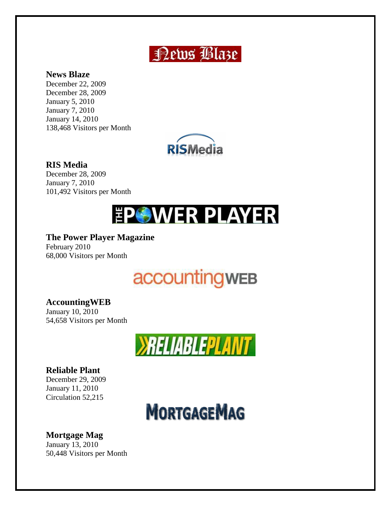## **News Blaze**

#### **News Blaze**

December 22, 2009 December 28, 2009 January 5, 2010 January 7, 2010 January 14, 2010 138,468 Visitors per Month



#### **RIS Media**

December 28, 2009 January 7, 2010 101,492 Visitors per Month

# **EPOWER PLAYER**

### **The Power Player Magazine**

February 2010 68,000 Visitors per Month

# **accountingwEB**

### **AccountingWEB**

January 10, 2010 54,658 Visitors per Month



### **Reliable Plant**

December 29, 2009 January 11, 2010 Circulation 52,215



### **Mortgage Mag**

January 13, 2010 50,448 Visitors per Month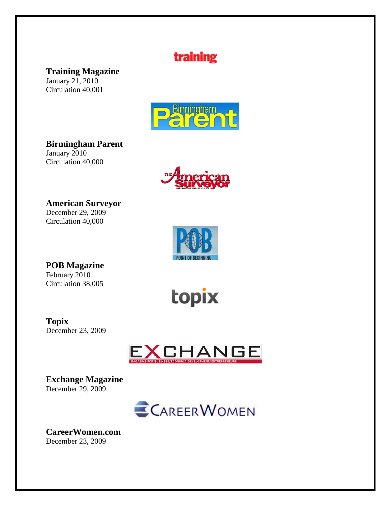### training

**Training Magazine** 

January 21, 2010 Circulation 40,001



**Birmingham Parent**  January 2010

Circulation 40,000



**American Surveyor** 

December 29, 2009 Circulation 40,000



**POB Magazine** February 2010 Circulation 38,005

topix

**Topix**  December 23, 2009



**Exchange Magazine**  December 29, 2009



**CareerWomen.com**  December 23, 2009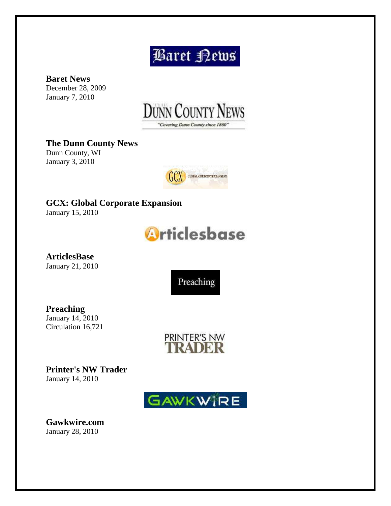# **Baret Kews**

**Baret News**  December 28, 2009 January 7, 2010



**The Dunn County News**  Dunn County, WI January 3, 2010



**GCX: Global Corporate Expansion** January 15, 2010



**ArticlesBase**  January 21, 2010

Preaching

**Preaching**  January 14, 2010 Circulation 16,721



**Printer's NW Trader**  January 14, 2010



**Gawkwire.com**  January 28, 2010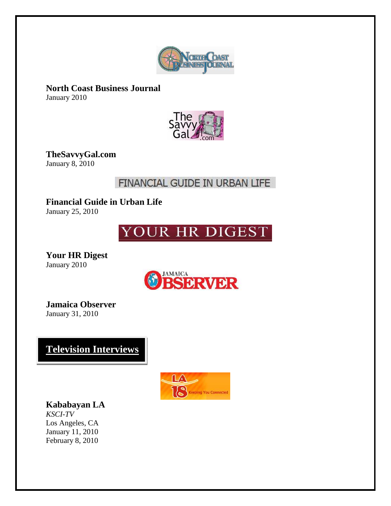

**North Coast Business Journal**  January 2010



**TheSavvyGal.com**  January 8, 2010

### FINANCIAL GUIDE IN URBAN LIFE

**Financial Guide in Urban Life**  January 25, 2010

## YOUR HR DIGEST

**Your HR Digest**  January 2010



**Jamaica Observer**  January 31, 2010

**Television Interviews:** 



**Kababayan LA**

*KSCI-TV*  Los Angeles, CA January 11, 2010 February 8, 2010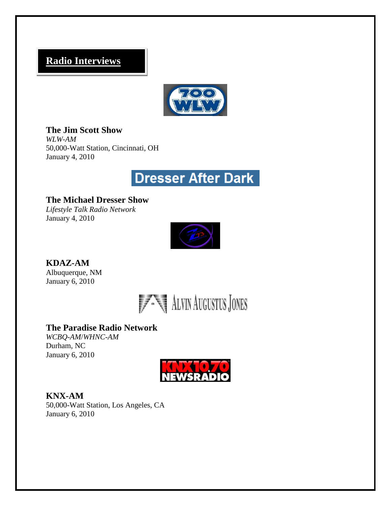### **Radio Interviews**



**The Jim Scott Show** *WLW-AM* 50,000-Watt Station, Cincinnati, OH January 4, 2010

## Dresser After Dark

**The Michael Dresser Show** *Lifestyle Talk Radio Network*  January 4, 2010



**KDAZ-AM** Albuquerque, NM January 6, 2010



#### **The Paradise Radio Network**

*WCBQ-AM*/*WHNC-AM*  Durham, NC January 6, 2010



**KNX-AM** 50,000-Watt Station, Los Angeles, CA January 6, 2010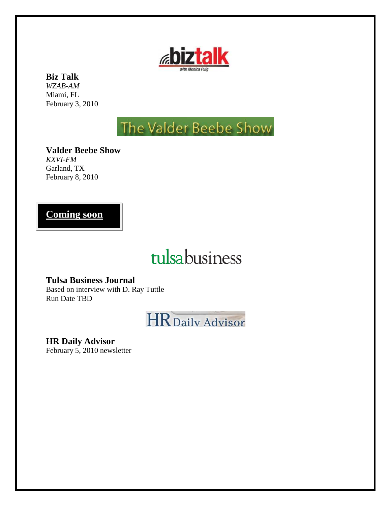

### **Biz Talk**

*WZAB-AM* Miami, FL February 3, 2010

# The Valder Beebe Show

**Valder Beebe Show**  *KXVI-FM* Garland, TX February 8, 2010

### **Coming soon**

# tulsabusiness

**Tulsa Business Journal** Based on interview with D. Ray Tuttle Run Date TBD



**HR Daily Advisor**

February 5, 2010 newsletter